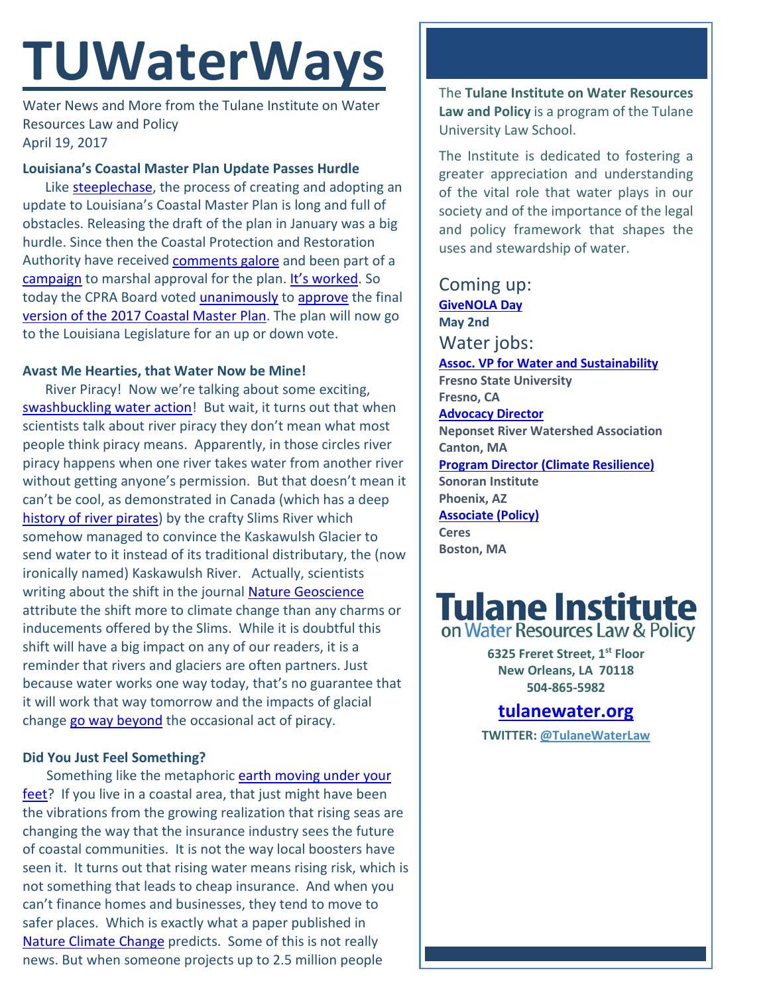# **TUWaterWays**

Water News and More from the Tulane Institute on Water Resources Law and Policy April 19, 2017

#### **Louisiana's Coastal Master Plan Update Passes Hurdle**

Like [steeplechase,](https://www.youtube.com/watch?v=IEWMmGz3FC0) the process of creating and adopting an update to Louisiana's Coastal Master Plan is long and full of obstacles. Releasing the draft of the plan in January was a big hurdle. Since then the Coastal Protection and Restoration Authority have received [comments galore](http://www.nola.com/environment/index.ssf/2017/04/louisiana_coastal_master_plan_comments.html#incart_river_home) and been part of a [campaign](http://www.theadvocate.com/baton_rouge/opinion/article_b343dd46-2374-11e7-ac1f-cb50caf5be60.html) to marshal approval for the plan. [It's worked.](http://www.nola.com/environment/index.ssf/2017/04/poll_97_percent_of_voters_stat.html#incart_river_home) So today the CPRA Board voted [unanimously](http://www.theadvocate.com/new_orleans/news/environment/article_e6e8eb2a-23bd-11e7-9928-c32bdefb3815.html) to [approve](http://www.nola.com/environment/index.ssf/2017/04/proposed_2017_coastal_master_p.html) the final [version of the 2017 Coastal Master Plan.](http://coastal.la.gov/wp-content/uploads/2017/04/2017-Coastal-Master-Plan_Web-Book_Final_Compressed-04182017.pdf) The plan will now go to the Louisiana Legislature for an up or down vote.

#### **Avast Me Hearties, that Water Now be Mine!**

River Piracy! Now we're talking about some exciting, [swashbuckling water action!](file:///C:%5CUsers%5CNboyer1%5CDownloads%5Ciframe%20src=%22%5Cgiphy.com%5Cembed%5C4Z2ewglZYzle0%22%20width=%22480%22%20height=%22254.69387755102042%22%20frameBorder=%220%22%20class=%22giphy-embed%22%20allowFullScreen%3e%3c%5Ciframe%3e%3cp%3e%3ca%20href=%22https:%5Cgiphy.com%5Cgifs%5Cpirates-cutthroat-island-4Z2ewglZYzle0%22%3evia%20GIPHY%3c%5Ca%3e%3c%5Cp) But wait, it turns out that when scientists talk about river piracy they don't mean what most people think piracy means. Apparently, in those circles river piracy happens when one river takes water from another river without getting anyone's permission. But that doesn't mean it can't be cool, as demonstrated in Canada (which has a deep [history of river pirates\)](https://www.youtube.com/watch?v=8G_L9tXEwmc) by the crafty Slims River which somehow managed to convince the Kaskawulsh Glacier to send water to it instead of its traditional distributary, the (now ironically named) Kaskawulsh River. Actually, scientists writing about the shift in the journal **Nature Geoscience** attribute the shift more to climate change than any charms or inducements offered by the Slims. While it is doubtful this shift will have a big impact on any of our readers, it is a reminder that rivers and glaciers are often partners. Just because water works one way today, that's no guarantee that it will work that way tomorrow and the impacts of glacial change go [way beyond](https://www.csmonitor.com/Environment/2017/0418/How-climate-change-dried-up-a-Canadian-glacier-river-in-a-matter-of-days) the occasional act of piracy.

### **Did You Just Feel Something?**

 Something like the metaphoric [earth moving under](https://www.youtube.com/watch?v=wbQ4m-NqeF8) your [feet?](https://www.youtube.com/watch?v=wbQ4m-NqeF8) If you live in a coastal area, that just might have been the vibrations from the growing realization that rising seas are changing the way that the insurance industry sees the future of coastal communities. It is not the way local boosters have seen it. It turns out that rising water means rising risk, which is not something that leads to cheap insurance. And when you can't finance homes and businesses, they tend to move to safer places. Which is exactly what a paper published in [Nature Climate Change](https://www.nature.com/nclimate/journal/vaop/ncurrent/full/nclimate3271.html) predicts. Some of this is not really news. But when someone projects up to 2.5 million people

The **Tulane Institute on Water Resources Law and Policy** is a program of the Tulane University Law School.

The Institute is dedicated to fostering a greater appreciation and understanding of the vital role that water plays in our society and of the importance of the legal and policy framework that shapes the uses and stewardship of water.

Coming up: **[GiveNOLA Day](https://www.givenola.org/tulanewaterlaw) May 2nd** Water jobs: **[Assoc. VP for Water and Sustainability](http://www.joshswaterjobs.com/jobs/3903) Fresno State University Fresno, CA [Advocacy Director](http://www.joshswaterjobs.com/jobs/3803) Neponset River Watershed Association Canton, MA [Program Director \(Climate Resilience\)](http://www.joshswaterjobs.com/jobs/3642) Sonoran Institute Phoenix, AZ [Associate \(Policy\)](http://www.joshswaterjobs.com/jobs/3930) Ceres Boston, MA**



**6325 Freret Street, 1st Floor New Orleans, LA 70118 504-865-5982** 

## **tulanewater.org**

**TWITTER: [@TulaneWaterLaw](http://www.twitter.com/TulaneWaterLaw)**